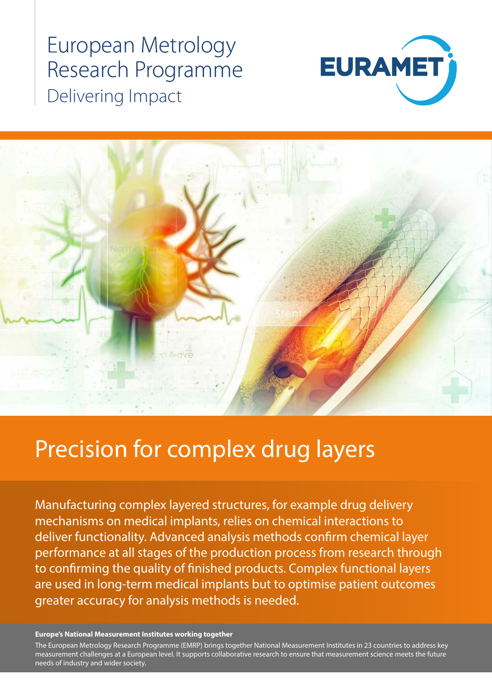## European Metrology Research Programme Delivering Impact





# Precision for complex drug layers

Manufacturing complex layered structures, for example drug delivery mechanisms on medical implants, relies on chemical interactions to deliver functionality. Advanced analysis methods confirm chemical layer performance at all stages of the production process from research through to confirming the quality of finished products. Complex functional layers are used in long-term medical implants but to optimise patient outcomes greater accuracy for analysis methods is needed.

#### **Europe's National Measurement Institutes working together**

measurement challenges at a European level. It supports collaborative research to ensure that measurement science meets the future<br>needs of industry and wider society The European Metrology Research Programme (EMRP) brings together National Measurement Institutes in 23 countries to address key needs of industry and wider society.